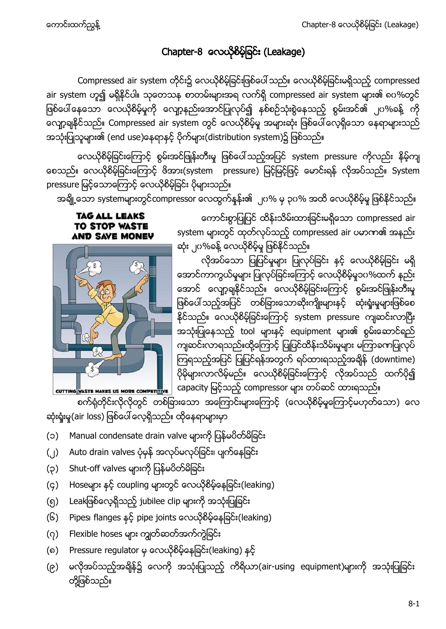## Chapter-8 တေယိုစိမ့်ခြင်း (Leakage)

Compressed air system တိုင်း၌ လေယိုစိမ့်ခြင်းဖြစ်ပေါ် သည်။ လေယိုစိမ့်ခြင်းမရှိသည့် compressed air system ဟူ၍ မရှိနိုင်ပါ။ သုတေသန စာတမ်းများအရ လက်ရှိ compressed air system များ၏ ၈၀%တွင် ဖြစ်ပေါ် နေသော လေယိုစိမ့်မှုကို လျော့နည်းအောင်ပြုလုပ်၍ နစ်စဉ်သုံးစွဲနေသည့် စွမ်းအင်၏ ၂၀%ခန့် ကို လျော့ချနိုင်သည်။ Compressed air system တွင် လေယိုစိမ့်မှု အများဆုံး ဖြစ်ပေါ် လေ့ရှိသော နေရာများသည် အသုံးပြုသူများ၏ (end use)နေရာနှင့် ပိုက်များ(distribution system)၌ ဖြစ်သည်။

လေယိုစိမ့်ခြင်းကြောင့် စွမ်းအင်ဖြုန်းတီးမှု ဖြစ်ပေါ်သည့်အပြင် system pressure ကိုလည်း နိမ့်ကျ စေသည်။ လေယိုစိမ့်ခြင်းကြောင့် ဖိအား(system pressure) မြင့်မြင့်ဖြင့် မောင်းရန် လိုအပ်သည်။ System pressure မြင့်သောကြောင့် လေယိုစိမ့်ခြင်း ပိုများသည်။

အချို့သော systemများတွင်compressor လေထွက်နန်း၏ ၂၀% မှ ၃၀% အထိ လေယိုစိမ့်မှု ဖြစ်နိုင်သည်။

### **TAG ALL LEAKS** TO STOP WASTE **AND SAVE MONEY**



ကောင်းစွာပြုပြင် ထိန်းသိမ်းထားခြင်းမရှိသော compressed air system များတွင် ထုတ်လုပ်သည့် compressed air ပမာဏ၏ အနည်း ဆုံး ၂၀%ခန့် လေယိုစိမ့်မှု ဖြစ်နိုင်သည်။

လိုအပ်သော ပြုပြင်မှုများ ပြုလုပ်ခြင်း နှင့် လေယိုစိမ့်ခြင်း မရှိ အောင်ကာကွယ်မှုများ ပြုလုပ်ခြင်းကြောင့် လေယိုစိမ့်မှု၁၀%ထက် နည်း အောင် လျော့ချနိုင်သည်။ လေယိုစိမ့်ခြင်းကြောင့် စွမ်းအင်ဖြုန်းတီးမှု ဖြစ်ပေါ် သည့်အပြင် တစ်ခြားသောဆိုးကျိုးများနှင့် ဆုံးရှုံးမှုများဖြစ်စေ နိုင်သည်။ လေယိုစိမ့်ခြင်းကြောင့် system pressure ကျဆင်းလာပြီး အသုံးပြုနေသည့် tool များနှင့် equipment များ၏ စွမ်းဆောင်ရည် ကျဆင်းလာရသည်။ထို့ကြောင့် ပြုပြင်ထိန်းသိမ်းမှုများ မကြာခကာပြုလုပ် ကြရသည့်အပြင် ပြုပြင်ရန်အတွက် ရပ်ထားရသည့်အချိန် (downtime) ပိုမိုများလာလိမ့်မည်။ လေယိုစိမ့်ခြင်းကြောင့် လိုအပ်သည် ထက်ပို၍ cutring waste makes us more competitive | capacity မြင့်သည့် compressor များ တပ်ဆင် ထားရသည်။

စက်ရုံတိုင်းလိုလိုတွင် တစ်ခြားသော အကြောင်းများကြောင့် (လေယိုစိမ့်မှုကြောင့်မဟုတ်သော) လေ ဆုံးရှုံးမှု(air loss) ဖြစ်ပေါ် လေ့ရှိသည်။ ထိုနေရာများမှာ

- (၁) Manual condensate drain valve များကို ပြန်မပိတ်မိခြင်း
- (၂) Auto drain valves ပုံမှန် အလုပ်မလုပ်ခြင်း၊ ပျက်နေခြင်း
- (၃) Shut-off valves များကို ပြန်မပိတ်မိခြင်း
- (၄) Hoseများ နှင့် coupling များတွင် လေယိုစိမ့်နေခြင်း(leaking)
- (၅) Leakဖြစ်လေ့ရှိသည့် jubilee clip များကို အသုံးပြုခြင်း
- (၆) Pipes၊ flanges နှင့် pipe joints လေယိုစိမ့်နေခြင်း(leaking)
- (၇) Flexible hoses များ ကျတ်ဆတ်အက်ကွဲခြင်း
- (၈) Pressure regulator မှ လေယိုစိမ့်နေခြင်း(leaking) နင့်
- (၉) မလိုအပ်သည့်အရှိန်၌ လေကို အသုံးပြုသည့် ကိရိယာ(air-using equipment)များကို အသုံးပြုခြင်း တို့ဖြစ်သည်။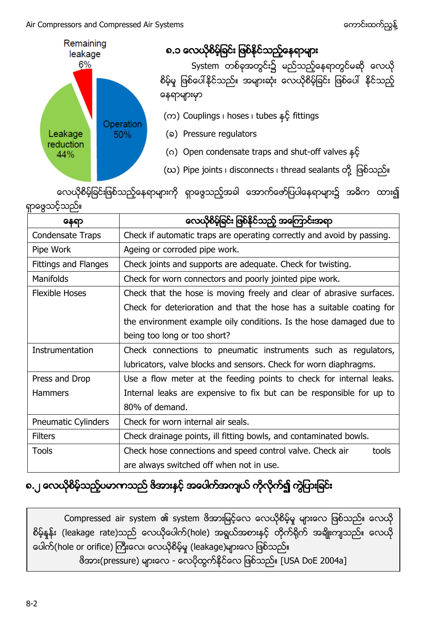### Air Compressors and Compressed Air Systems ကား အားသား အားသား အသား အကာင်းထက်ညွန့်



လေယိုစိမ့်ခြင်းဖြစ်သည့်နေရာများကို ရှာဖွေသည့်အခါ အောက်ဖော်ပြပါနေရာများ၌ အဓိက ထား၍ ရှာဖွေသင့်သည်။

| နေရာ                 | လေယိုစိမ့်ခြင်း ဖြစ်နိုင်သည့် အကြောင်းအရာ                              |  |  |  |
|----------------------|------------------------------------------------------------------------|--|--|--|
| Condensate Traps     | Check if automatic traps are operating correctly and avoid by passing. |  |  |  |
| Pipe Work            | Ageing or corroded pipe work.                                          |  |  |  |
| Fittings and Flanges | Check joints and supports are adequate. Check for twisting.            |  |  |  |
| <b>Manifolds</b>     | Check for worn connectors and poorly jointed pipe work.                |  |  |  |
| Flexible Hoses       | Check that the hose is moving freely and clear of abrasive surfaces.   |  |  |  |
|                      | Check for deterioration and that the hose has a suitable coating for   |  |  |  |
|                      | the environment example oily conditions. Is the hose damaged due to    |  |  |  |
|                      | being too long or too short?                                           |  |  |  |
| Instrumentation      | Check connections to pneumatic instruments such as regulators,         |  |  |  |
|                      | lubricators, valve blocks and sensors. Check for worn diaphragms.      |  |  |  |
| Press and Drop       | Use a flow meter at the feeding points to check for internal leaks.    |  |  |  |
| <b>Hammers</b>       | Internal leaks are expensive to fix but can be responsible for up to   |  |  |  |
|                      | 80% of demand.                                                         |  |  |  |
| Pneumatic Cylinders  | Check for worn internal air seals.                                     |  |  |  |
| <b>Filters</b>       | Check drainage points, ill fitting bowls, and contaminated bowls.      |  |  |  |
| Tools                | Check hose connections and speed control valve. Check air<br>tools     |  |  |  |
|                      | are always switched off when not in use.                               |  |  |  |

# ၈.၂ လေယိုစိမ့်သည့်ပမာကသည် ဇိအားနှင့် အပေါက်အကျယ် ကိုလိုက်၍ ကွဲပြားခြင်း

Compressed air system ၏ system ဗိအားမြင့်လေ လေယိုစိမ့်မှု များလေ ဖြစ်သည်။ လေယို စိမ့်နန်း (leakage rate)သည် လေယိုပေါက်(hole) အရွယ်အစားနှင့် တိုက်ရိုက် အချိုးကျသည်။ လေယို ပေါက်(hole or orifice) ကြီးလေ၊ လေယိုစိမ့်မှု (leakage)များလေ ဖြစ်သည်။  $\delta$ အား(pressure) များလေ - လေပိုထွက်နိုင်လေ ဖြစ်သည်။ [USA DoE 2004a]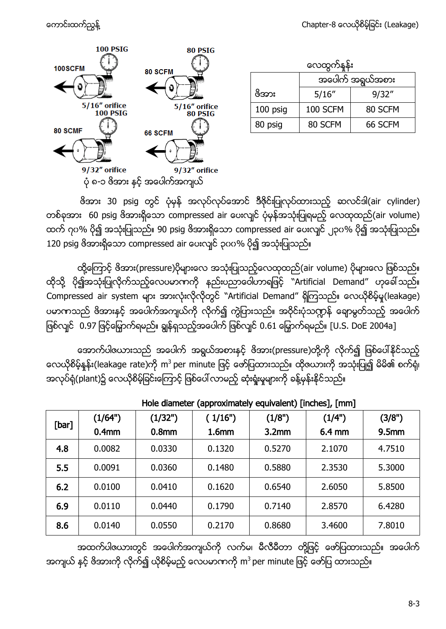10

80

|              | <b>100 PSIG</b>                 | 80 PSIG       |  |
|--------------|---------------------------------|---------------|--|
| <b>OSCFM</b> |                                 | 80 SCFM       |  |
|              |                                 |               |  |
|              | $5/16$ " orifice                | 5/16" orifice |  |
|              | <b>100 PSIG</b>                 | 80 PSIG       |  |
| <b>SCMF</b>  |                                 | 66 SCFM       |  |
|              |                                 |               |  |
|              | $9/32''$ orifice                | 9/32" orifice |  |
|              | ပုံ ၈-၁ ဖိအား နှင့် အပေါက်အကျယ် |               |  |

လေထွက်နူန်း ဖိအား အပေါက် အရွယ်အစား 5/16" 9/32" 100 psig | 100 SCFM | 80 SCFM 80 psig | 80 SCFM | 66 SCFM

ဗိအား 30 psig တွင် ပုံမှန် အလုပ်လုပ်အောင် ဒီဇိုင်းပြုလုပ်ထားသည့် ဆလင်ဒါ(air cylinder) တစ်ခုအား 60 psig ဖိအားရှိသော compressed air ပေးလျှင် ပုံမှန်အသုံးပြုရမည့် လေထုထည်(air volume) ထက် ဂုပ% ပို၍ အသုံးပြုသည်။ 90 psig ဖိအားရှိသော compressed air ပေးလျှင် ၂၃၀% ပို၍ အသုံးပြုသည်။ 120 psig ဗိအားရှိသော compressed air ပေးလျှင် ၃၀၀% ပို၍ အသုံးပြုသည်။

ထို့ကြောင့် ဖိအား(pressure)ပိုများလေ အသုံးပြုသည့်လေထုထည်(air volume) ပိုများလေ ဖြစ်သည်။ ထိုသို့ ပို၍အသုံးပြုလိုက်သည့်လေပမာဏကို နည်းပညာဝေါဟာရဖြင့် "Artificial Demand" ဟုခေါ်သည်။ Compressed air system များ အားလုံးလိုလိုတွင် "Artificial Demand" ရှိကြသည်။ လေယိုစိမ့်မှု(leakage) ပမာဏသည် ဖိအားနှင့် အပေါက်အကျယ်ကို လိုက်၍ ကွဲပြားသည်။ အဝိုင်းပုံသဏ္ဍန် ချောမွတ်သည့် အပေါက် ဖြစ်လျင် 0.97 ဖြင့်မြှောက်ရမည်။ ချွန်ရှသည့်အပေါက် ဖြစ်လျင် 0.61 မြှောက်ရမည်။ [U.S. DoE 2004a]

အောက်ပါဇယားသည် အပေါက် အရွယ်အစားနှင့် ဖိအား(pressure)တို့ကို လိုက်၍ ဖြစ်ပေါ်နိုင်သည့် လေယိုစိမ့်နန်း(leakage rate)ကို m<sup>3</sup> per minute ဖြင့် ဖော်ပြထားသည်။ ထိုဇယားကို အသုံးပြု၍ မိ အလုပ်ရုံ(plant)၌ လေယိုစိမ့်ခြင်းကြောင့် ဖြစ်ပေါ် လာမည့် ဆုံးရှုံးမှုများကို ခန့်မှန်းနိုင်သည်။

| [bar] | (1/64")           | (1/32")           | (1/16")           | (1/8")            | (1/4") | (3/8")            |
|-------|-------------------|-------------------|-------------------|-------------------|--------|-------------------|
|       | 0.4 <sub>mm</sub> | 0.8 <sub>mm</sub> | 1.6 <sub>mm</sub> | 3.2 <sub>mm</sub> | 6.4 mm | 9.5 <sub>mm</sub> |
| 4.8   | 0.0082            | 0.0330            | 0.1320            | 0.5270            | 2.1070 | 4.7510            |
| 5.5   | 0.0091            | 0.0360            | 0.1480            | 0.5880            | 2.3530 | 5.3000            |
| 6.2   | 0.0100            | 0.0410            | 0.1620            | 0.6540            | 2.6050 | 5.8500            |
| 6.9   | 0.0110            | 0.0440            | 0.1790            | 0.7140            | 2.8570 | 6.4280            |
| 8.6   | 0.0140            | 0.0550            | 0.2170            | 0.8680            | 3.4600 | 7.8010            |

Hole diameter (approximately equivalent) [inches], [mm]

အထက်ပါဇယားတွင် အပေါက်အကျယ်ကို လက်မ၊ မီလီမီတာ တို့ဖြင့် ဖော်ပြထားသည်။ အပေါက် အကျယ် နင့် ဖိအားကို လိုက်၍ ယိုစိမ့်မည့် လေပမာဏကို m<sup>3</sup> per minute|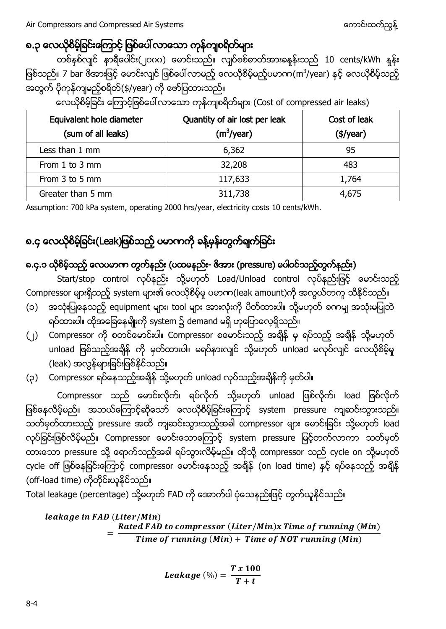### ၈.၃ လေယိုစိမ့်ခြင်းကြောင့် ဖြစ်ပေါ် လာသော ကုန်ကျစရိတ်များ

တစ်နစ်လျင် နာရီပေါင်း(၂၀၀၀) မောင်းသည်။ လျပ်စစ်ဓာတ်အားခနန်းသည် 10 cents/kWh နန်း ဖြစ်သည်။ 7 bar ဗိအားဖြင့် မောင်းလျင် ဖြစ်ပေါ်လာမည့် လေယိုစိမ့်မည့်ပမာက(m<sup>3</sup>/year) အတွက် ပိုကုန်ကျမည့်စရိတ်(\$/year) ကို ဖော်ပြထားသည်။

| Equivalent hole diameter<br>(sum of all leaks) | Quantity of air lost per leak<br>(m <sup>3</sup> /year) | Cost of leak<br>$(\frac{4}{year})$ |
|------------------------------------------------|---------------------------------------------------------|------------------------------------|
| Less than 1 mm                                 | 6,362                                                   | 95                                 |
| From 1 to 3 mm                                 | 32,208                                                  | 483                                |
| From 3 to 5 mm                                 | 117,633                                                 | 1,764                              |
| Greater than 5 mm                              | 311,738                                                 | 4,675                              |

လေယိုစိမ့်ခြင်း ကြောင့်ဖြစ်ပေါ် လာသော ကုန်ကျစရိတ်များ (Cost of compressed air leaks)

Assumption: 700 kPa system, operating 2000 hrs/year, electricity costs 10 cents/kWh.

## ၈.၄ လေယိုစိမ့်ခြင်း(Leak)ဖြစ်သည့် ပမာကကို ခန့်မှန်းတွက်ချက်ခြင်း

### ၈.၄.၁ ယိုစိမ့်သည့် လေပမာက တွက်နည်း (ပထမနည်း- ဗိအား (pressure) မပါဝင်သည့်တွက်နည်း)

Start/stop control လုပ်နည်း သို့မဟုတ် Load/Unload control လုပ်နည်းဖြင့် မောင်းသည့် Compressor များရှိသည့် system များ၏ လေယိုစိမ့်မှု ပမာဏ(leak amount)ကို အလွယ်တကူ သိနိုင်သည်။

- (၁) အသုံးပြုနေသည့် equipment များ၊ tool များ အားလုံးကို ပိတ်ထားပါ။ သို့မဟုတ် ခကမျ အသုံးမပြုဘဲ ရပ်ထားပါ။ ထိုအခြေနေမျိုးကို system ၌ demand မရှိ ဟုပြောလေ့ရှိသည်။
- (၂) Compressor ကို စတင်မောင်းပါ။ Compressor စမောင်းသည့် အချိန် မှ ရပ်သည့် အချိန် သို့မဟုတ် unload ဖြစ်သည့်အချိန် ကို မှတ်ထားပါ။ မရပ်နားလျင် သို့မဟုတ် unload မလုပ်လျင် လေယိုစိမ့်မှု (leak) အလွန်များခြင်းဖြစ်နိုင်သည်။
- (၃) Compressor ရပ်နေသည့်အရှိန် သို့မဟုတ် unload လုပ်သည့်အရှိန်ကို မှတ်ပါ။

Compressor သည် မောင်းလိုက်၊ ရပ်လိုက် သို့မဟုတ် unload ဖြစ်လိုက်၊ load ဖြစ်လိုက် ဖြစ်နေလိမ့်မည်။ အဘယ်ကြောင့်ဆိုသော် လေယိုစိမ့်ခြင်းကြောင့် system pressure ကျဆင်းသွားသည်။ —<br>သတ်မှတ်ထားသည့် pressure အထိ ကျဆင်းသွားသည့်အခါ compressor များ မောင်းခြင်း သို့မဟုတ် load လုပ်ခြင်းဖြစ်လိမ့်မည်။ Compressor မောင်းသောကြောင့် system pressure မြင့်တက်လာကာ သတ်မှတ် ထားသော pressure သို့ ရောက်သည့်အခါ ရပ်သွားလိမ့်မည်။ ထိုသို့ compressor သည် cycle on သို့မဟုတ် cycle off ဖြစ်နေခြင်းကြောင့် compressor မောင်းနေသည့် အချိန် (on load time) နှင့် ရပ်နေသည့် အချိန် (off-load time) ကိုတိုင်းယူနိုင်သည်။

Total leakage (percentage) သို့မဟုတ် FAD ကို အောက်ပါ ပုံသေနည်းဖြင့် တွက်ယူနိုင်သည်။

leakage in FAD (Liter/Min)  $=$  $\frac{R}{A}$ T

$$
Leakage\; (\%) = \frac{T \times 100}{T+t}
$$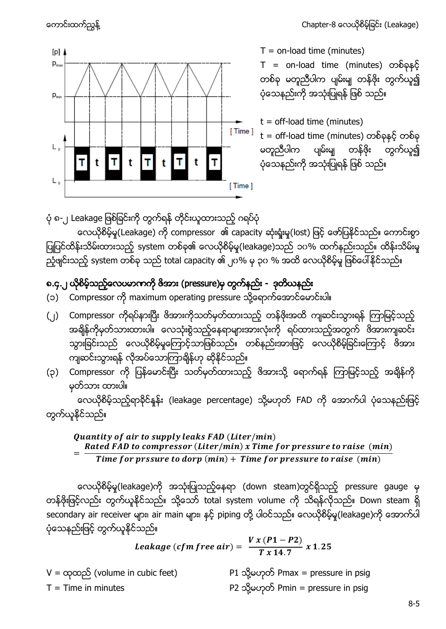

 $T =$  on-load time (minutes)

T = on-load time (minutes) တစ်ခု မတူညီပါက ပျမ်းမျ တန်ဖိုး တွက်ယူ၍ ပုံသေနည်းကို အသုံးပြုရန် ဖြစ် သည်။

 $t =$  off-load time (minutes)  $t =$  off-load time (minutes) တစ်ခုနှင့် တစ်ခု မတူညီပါက ပျမ်းမျ တန်ဖိုး တွက်ယူ၍ ပုံသေနည်းကို အသုံးပြုရန် ဖြစ် သည်။

ပုံ ၈-၂ Leakage ဖြစ်ခြင်းကို တွက်ရန် တိုင်းယူထားသည့် ဂရပ်ပုံ

လေယိုစိမ့်မူ(Leakage) ကို compressor ၏ capacity ဆုံးရှုံးမူ(lost) ဖြင့် ဖော်ပြနိုင်သည်။ ကောင်းစွာ ပြုပြင်ထိန်းသိမ်းထားသည့် system တစ်ခု၏ လေယိုစိမ့်မူ(leakage)သည် ၁၀% ထက်နည်းသည်။ ထိန်းသိမ်းမှု ညံ့ဖျင်းသည့် system တစ်ခု သည် total capacity ၏ ၂၀% မှ ၃၀ % အထိ လေယိုစိမ့်မှု ဖြစ်ပေါ်နိုင်သည်။

### ၈.၄.၂ ယိုစိမ့်သည့်လေပမာကကို ဇိအား (pressure)မှ တွက်နည်း - ဒုတိယနည်း

- (၁) Compressor ကို maximum operating pressure သို့ရောက်အောင်မောင်းပါ။
- (၂) Compressor ကိုရပ်နားပြီး ဖိအားကိုသတ်မှတ်ထားသည့် တန်ဖိုးအထိ ကျဆင်းသွားရန် ကြာမြင့်သည့် အရိန်ကိုမှတ်သားထားပါ။ လေသုံးစွဲသည့်နေရာများအားလုံးကို ရပ်ထားသည့်အတွက် ဖိအားကျဆင်း သွားခြင်းသည် လေယိုစိမ့်မှုကြောင့်သာဖြစ်သည်။ တစ်နည်းအားဖြင့် လေယိုစိမ့်ခြင်းကြောင့် ဖိအား ကျဆင်းသွားရန် လိုအပ်သောကြာချိန်ဟု ဆိုနိုင်သည်။
- (၃) Compressor ကို ပြန်မောင်းပြီး သတ်မှတ်ထားသည့် ဖိအားသို့ ရောက်ရန် ကြာမြင့်သည့် အချိန်ကို မှတ်သား ထားပါ။

လေယိုစိမ့်သည့်ရာနိင်နန်း (leakage percentage) သို့မဟုတ် FAD ကို အောက်ပါ ပုံသေနည်းဖြင့် တွက်ယူနိုင်သည်။

#### Quantity of air to supply leaks FAD (Liter/min)  $=$ Rated FAD to compressor (Liter/min) x Time for pressure to raise (min) Time for prssure to dorp  $(min) + Time$  for pressure to raise  $(min)$

လေယိုစိမ့်မူ(leakage)ကို အသုံးပြုသည့်နေရာ (down steam)တွင်ရှိသည့် pressure gauge မှ တန်ဖိုးဖြင့်လည်း တွက်ယူနိုင်သည်။ သို့သော် total system volume ကို သိရန်လိုသည်။ Down steam ရှိ secondary air receiver များ၊ air main များ၊ နှင့် piping တို့ ပါဝင်သည်။ လေယိုစိမ့်မူ(leakage)ကို အောက်ပါ ပုံသေနည်းဖြင့် တွက်ယူနိုင်သည်။

Leakage (cfm free air) = 
$$
\frac{V x (P1 - P2)}{T x 14.7} x 1.25
$$

V = ထုထည် (volume in cubic feet)  $P1$  သို့မဟုတ် Pmax = pressure in psig T = Time in minutes  $P2$   $\alpha$   $\beta$   $\alpha$  $\gamma$  $\beta$  Pmin = pressure in psig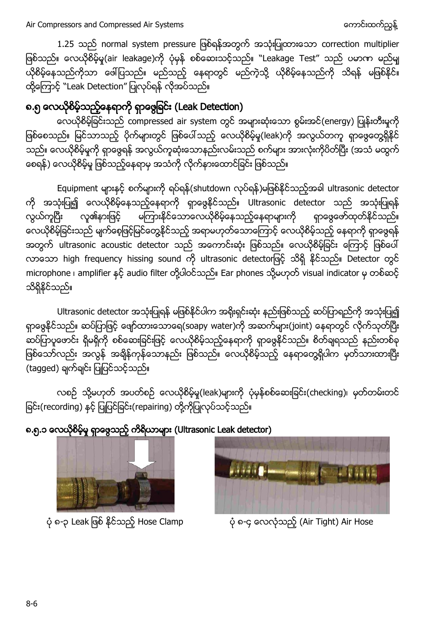1.25 သည် normal system pressure ဖြစ်ရန်အတွက် အသုံးပြုထားသော correction multiplier ဖြစ်သည်။ လေယိုစိမ့်မှု(air leakage)ကို ပုံမှန် စစ်ဆေးသင့်သည်။ "Leakage Test" သည် ပမာဏ မည်မျ ယိုစိမ့်နေသည်ကိုသာ ဖေါ်ပြသည်။ မည်သည့် နေရာတွင် မည်ကဲ့သို့ ယိုစိမ့်နေသည်ကို သိရန် မဖြစ်နိုင်။ ထို့ကြောင့် "Leak Detection" ပြုလုပ်ရန် လိုအပ်သည်။

## ၈.၅ လေယိုစိမ့်သည့်နေရာကို ရှာဖွေခြင်း (Leak Detection)

လေယိုစိမ့်ခြင်းသည် compressed air system တွင် အများဆုံးသော စွမ်းအင်(energy) ပြုန်းတီးမှုကို ဖြစ်စေသည်။ မြင်သာသည့် ပိုက်များတွင် ဖြစ်ပေါ်သည့် လေယိုစိမ့်မှု(leak)ကို အလွယ်တကူ ရှာဖွေတွေရှိနိုင် ( စေရန်) လေယိုစိမ့်မှု ဖြစ်သည့်နေရာမှ အသံကို လိုက်နားထောင်ခြင်း ဖြစ်သည်။

Equipment များနှင့် စက်များကို ရပ်ရန်(shutdown လုပ်ရန်)မဖြစ်နိုင်သည့်အခါ ultrasonic detector ကို အသုံးပြု၍ လေယိုစိမ့်နေသည့်နေရာကို ရှာဖွေနိုင်သည်။ Ultrasonic detector သည် အသုံးပြုရန် လူ၏နားဖြင့် မကြားနိုင်သောလေယိုစိမ့်နေသည့်နေရာများကို ရှာဖွေဖော်ထုတ်နိုင်သည်။ လွယ်ကူပြီး လေယိုစိမ့်ခြင်းသည် မျက်စေ့ဖြင့်မြင်တွေ့နိုင်သည့် အရာမဟုတ်သောကြောင့် လေယိုစိမ့်သည့် နေရာကို ရှာဖွေရန် အတွက် ultrasonic acoustic detector သည် အကောင်းဆုံး ဖြစ်သည်။ လေယိုစိမ့်ခြင်း ကြောင့် ဖြစ်ပေါ် လာသော high frequency hissing sound ကို ultrasonic detectorဖြင့် သိရှိ နိုင်သည်။ Detector တွင် microphone ၊ amplifier နှင့် audio filter တို့ပါဝင်သည်။ Ear phones သို့မဟုတ် visual indicator မှ တစ်ဆင့် သိရှိနိုင်သည်။

Ultrasonic detector အသုံးပြုရန် မဖြစ်နိုင်ပါက အရိုးရှင်းဆုံး နည်းဖြစ်သည့် ဆပ်ပြာရည်ကို အသုံးပြု၍ ရှာဖွေနိုင်သည်။ ဆပ်ပြာဖြင့် ဖျော်ထားသောရေ(soapy water)ကို အဆက်များ(joint) နေရာတွင် လိုက်သုတ်ပြီး ဆပ်ပြာပူဖောင်း ရှိမရှိကို စစ်ဆေးခြင်းဖြင့် လေယိုစိမ့်သည့်နေရာကို ရှာဖွေနိုင်သည်။ စိတ်ချရသည် နည်းတစ်ခု ဖြစ်သော်လည်း အလွန် အရိန်ကုန်သောနည်း ဖြစ်သည်။ လေယိုစိမ့်သည့် နေရာတွေ့ရှိပါက မှတ်သားထားပြီး (tagged) ချက်ချင်း ပြုပြင်သင့်သည်။

လစဉ် သို့မဟုတ် အပတ်စဉ် လေယိုစိမ့်မှု(leak)များကို ပုံမှန်စစ်ဆေးခြင်း(checking)၊ မှတ်တမ်းတင် ရြင်း(recording) နှင့် ပြုပြင်ခြင်း(repairing) တို့ကိုပြုလုပ်သင့်သည်။



# ၈.၅.၁ လေယိုစိမ့်မှု ရှာဖွေသည့် ကိရိယာများ (Ultrasonic Leak detector)



ပုံ ၈-၃ Leak ဖြစ် နိုင်သည့် Hose Clamp ကားပုံ ၈-၄ လေလုံသည့် (Air Tight) Air Hose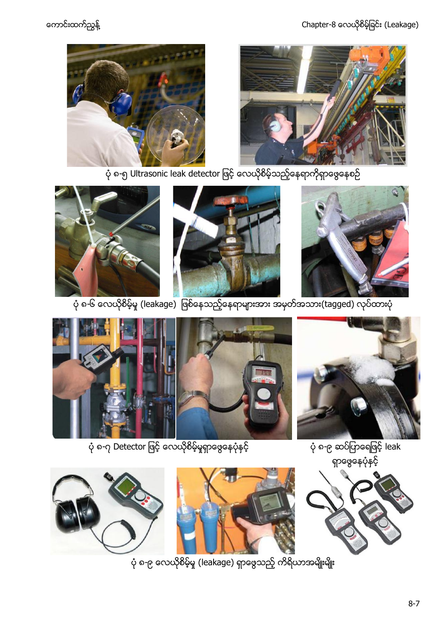ကောင်းထက်ညွှန့် ကားသား အားသား (Chapter-8 လေယိုစိမ့်ခြင်း (Leakage)





 $\dot{\phi}$  ၈-၆ လေယိုစိမ့်မှု (leakage) ဖြစ်နေသည့်နေရာများအား အမှတ်အသား(tagged) လုပ်ထားပုံ

ပုံ ၈-၉ လေယိုစိမ့်မှု (leakage) ရှာဖွေသည့် ကိရိယာအမျိုးမျိုး









ရှာဖွေနေပုံနှင့်





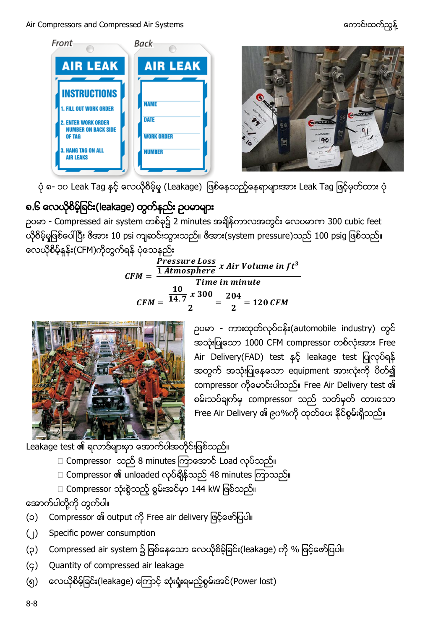Air Compressors and Compressed Air Systems ကား အောင်းထက်သွန့် အောင်းထက်ညွှန့်



ပုံ ၈- ၁၀ Leak Tag နှင့် လေယိုစိမ့်မှု (Leakage) ဖြစ်နေသည့်နေရာများအား Leak Tag ဖြင့်မှတ်ထား ပုံ

## ၈.၆ လေယိုစိမ့်ခြင်း(leakage) တွက်နည်း ဥပမာများ

 - Compressed air system ၌ 2 minutes 300 cubic feet ယိုစိမ့်မှုဖြစ်ပေါ်ပြီး ဗိအား 10 psi ကျဆင်းသွားသည်။ ဗိအား(system pressure)သည် 100 psig ဖြစ်သည်။ လေယိုစိမ့်နန်း(CFM)ကိုတွက်ရန် ပုံသေနည်း

 $\boldsymbol{c}$  $\boldsymbol{P}$  $\overline{\mathbf{1}}$ Time in minute  $\boldsymbol{C}$  $\mathbf{1}$  $\frac{10}{14.7}x$  $\frac{x300}{2} = \frac{2}{ }$  $\frac{1}{2}$ 



ညပမာ - ကားထုတ်လုပ်ငန်း(automobile industry) တွင် အသုံးပြုသော 1000 CFM compressor တစ်လုံးအား Free Air Delivery(FAD) test နှင့် leakage test ပြုလုပ်ရန် အတွက် အသုံးပြုနေသော equipment အားလုံးကို ပိတ်၍ compressor ကိုမောင်းပါသည်။ Free Air Delivery test ၏ စမ်းသပ်ချက်မှ compressor သည် သတ်မှတ် ထားသော Free Air Delivery ၏ ၉၀%ကို ထုတ်ပေး နိုင်စွမ်းရှိသည်။

 $\overline{\phantom{a}}$ Leakage test ၏ ရလာဒ်များမှာ အောက်ပါအ

- □ Compressor သည် 8 minutes ကြာအောင် Load လုပ်သည်။
- □ Compressor ၏ unloaded လုပ်ချိန်သည် 48 minutes ကြာသည်။

□ Compressor သုံးစွဲသည့် စွမ်းအင်မှာ 144 kW ဖြစ်သည်။

အောက်ပါတို့ကို တွက်ပါ။

- (၁) Compressor ၏ output ကို Free air delivery ဖြင့်ဖော်ပြပါ။
- (၂) Specific power consumption
- (၃) Compressed air system ၌ ဖြစ်နေသော လေယိုစိမ့်ခြင်း(leakage) ကို % ဖြင့်ဖော်ပြပါ။
- (၄) Quantity of compressed air leakage
- (၅) ေလယိုစိမ့်ခြင်း(leakage) ကြောင့် ဆုံးရှုံးရမည့်စွမ်းအင်(Power lost)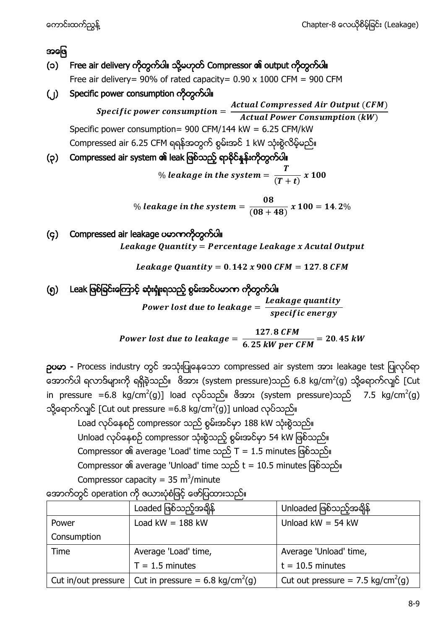### အဖြေ

- (၁) Free air delivery ကိုတွက်ပါ။ သို့မဟုတ် Compressor ၏ output ကိုတွက်ပါ။ Free air delivery= 90% of rated capacity=  $0.90 \times 1000$  CFM = 900 CFM
- (၂) Specific power consumption ကိုတွက်ပါ။
	- Specific power consumption  $=\frac{A}{\tau}$ **Actual Power Consumption (kW)** Specific power consumption= 900 CFM/144 kW = 6.25 CFM/kW Compressed air 6.25 CFM ရရန်အတွက် စွမ်းအင် 1 kW သုံးစွဲလိမ့်မည်။
- (၃) Compressed air system ၏ leak ဖြစ်သည့် ရာခိုင်နှန်းကိုတွက်ပါ။

% leakage in the system =  $\frac{T}{\sqrt{T}}$  $\frac{1}{(T+t)}$  x

% leakage in the system =  $\frac{0}{\sqrt{20}}$  $\frac{1}{(08+48)}$  x

(၄) Compressed air leakage ပမာဏကိုတွက်ပါ။ Leakage Quantity = Percentage Leakage x Acutal Output

Leakage Quantity =  $0.142 x 900$  CFM = 127.8 CFM

(၅) ါ

Power lost due to leakage  $= \frac{L}{\tau}$  $specific$  energy

Power lost due to leakage =  $\frac{1}{6.25}$ 6

pos - Process industry တွင် အသုံးပြုနေသော compressed air system အား leakage test ပြုလုပ်ရာ အောက်ပါ ရလာဒ်များကို ရရှိခဲ့သည်။ ဖိအား (system pressure)သည် 6.8 kg/cm<sup>2</sup>(g) သို့ရောက်လျင် [Cut in pressure =6.8 kg/cm $^2$ (g)] load လုပ်သည်။ ဖိအား (system pressure)သည်  $\,$  7.5 kg/cm $^2$ (g) သို့ရောက်လျင် [Cut out pressure =6.8 kg/cm<sup>2</sup>(g)] unload

Load လုပ်နေစဉ် compressor သည် စွမ်းအင်မှာ 188 kW သုံးစွဲသည်။ Unload လုပ်နေစဉ် compressor သုံးစွဲသည့် စွမ်းအင်မှာ 54 kW ဖြစ်သည်။ Compressor ၏ average 'Load' time သည် T = 1.5 minutes ဖြစ်သည်။ Compressor ၏ average 'Unload' time သည် t = 10.5 minutes ဖြစ်သည်။ Compressor capacity =  $35 \text{ m}^3/\text{minute}$ 

Loaded ဖြစ်သည့်အချိန် | Unloaded ဖြစ်သည့်အချိန် Power Consumption Load kW =  $188$  kW  $\vert$  Unload kW =  $54$  kW Time | Average 'Load' time,  $T = 1.5$  minutes Average 'Unload' time,  $t = 10.5$  minutes Cut in/out pressure | Cut in pressure =  $6.8 \text{ kg/cm}^2\text{(g)}$ (g)  $\vert$  Cut out pressure = 7.5 kg/cm<sup>2</sup>(g)

အောက်တွင် operation ကို ဇယားပုံစံဖြင့် ဖော်ပြထားသည်။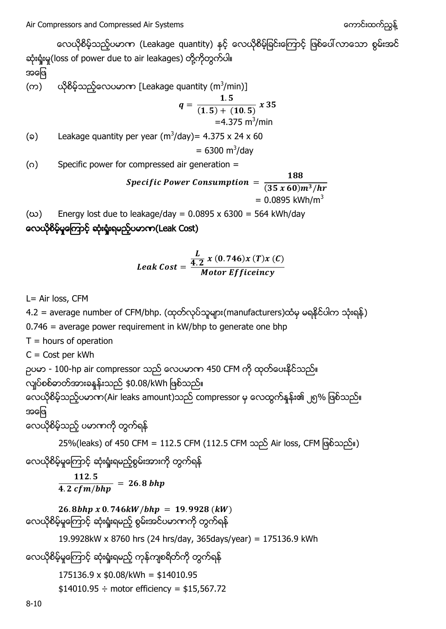လေယိုစိမ့်သည့်ပမာဏ (Leakage quantity) နှင့် လေယိုစိမ့်ခြင်းကြောင့် ဖြစ်ပေါ်လာသော စွမ်းအင် ဆုံးရှုံးမှု(loss of power due to air leakages) တို့ကိုတွက်ပါ။

အဖြေ

(က) ယိုစိမ့်သည့်လေပမာဏ [Leakage quantity (m $^3$ /min)]

$$
q = \frac{1.5}{(1.5) + (10.5)} \times 35
$$
  
=4.375 m<sup>3</sup>/min

( $\circ$ ) Leakage quantity per year (m<sup>3</sup>/day) = 4.375 x 24 x 60

 $= 6300 \text{ m}^3/\text{day}$ 

(ဂ) Specific power for compressed air generation =

*Specific Power Consumption* = 
$$
\frac{188}{(35 x 60)m^3/hr}
$$

$$
= 0.0895 kWh/m^3
$$

 $100$ 

(ω) Energy lost due to leakage/day =  $0.0895 \times 6300 = 564$  kWh/day

လေယိုစိမ့်မှုကြောင့် ဆုံးရုံးရမည့်ပမာက(Leak Cost)

$$
Leak Cost = \frac{\frac{L}{4.2} x (0.746) x (T) x (C)}{Motor Efficiency}
$$

L= Air loss, CFM

4.2 = average number of CFM/bhp. (ထုတ်လုပ်သူများ(manufacturers)ထံမှ မရနိုင်ပါက သုံးရန်) 0.746 = average power requirement in kW/bhp to generate one bhp  $T =$  hours of operation C = Cost per kWh ဉပမာ - 100-hp air compressor သည် လေပမာက 450 CFM ကို ထုတ်ပေးနိင်သည်။ လျပ်စစ်ဓာတ်အားခနန်းသည် \$0.08/kWh ဖြစ်သည်။ လေယိုစိမ့်သည့်ပမာဏ(Air leaks amount)သည် compressor မှ လေထွက်နှန်း၏ ၂၅% ဖြစ်သည်။ အဖြေ လေယိုစိမ့်သည့် ပမာဏကို တွက်ရန် 25%(leaks) of 450 CFM = 112.5 CFM (112.5 CFM သည် Air loss, CFM ဖြစ်သည်။) လေယိုစိမ့်မှုကြောင့် ဆုံးရှုံးရမည့်စွမ်းအားကို တွက်ရန်  $\mathbf{1}$ 4 26.8bhp x 0.746kW/bhp = 19.9928 (kW) လေယိုစိမ့်မှုကြောင့် ဆုံးရှုံးရမည့် စွမ်းအင်ပမာဏကို တွက်ရန် 19.9928kW x 8760 hrs (24 hrs/day, 365days/year) = 175136.9 kWh လေယိုစိမ့်မှုကြောင့် ဆုံးရှုံးရမည့် ကုန်ကျစရိတ်ကို တွက်ရန် 175136.9 x \$0.08/kWh = \$14010.95  $$14010.95 \div \text{motor efficiency} = $15,567.72$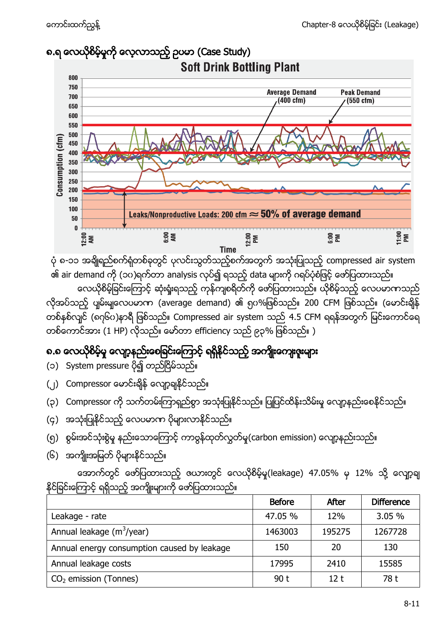

ပုံ ၈-၁၁ အချိုရည်စက်ရုံတစ်ခုတွင် ပုလင်းသွတ်သည့်စက်အတွက် အသုံးပြုသည့် compressed air system ၏ air demand ကို (၁၀)ရက်တာ analysis လုပ်၍ ရသည့် data များကို ဂရပ်ပုံစံဖြင့် ဖော်ပြထားသည်။

လေယိုစိမ့်ခြင်းကြောင့် ဆုံးရှုံးရသည့် ကုန်ကျစရိတ်ကို ဖော်ပြထားသည်။ ယိုစိမ့်သည့် လေပမာကာသည် လိုအပ်သည့် ပျမ်းမျလေပမာက (average demand) ၏ ရုပ%ဖြစ်သည်။ 200 CFM ဖြစ်သည်။ (မောင်းချိန် တစ်နစ်လျင် (၈၇၆၀)နာရီ ဖြစ်သည်။ Compressed air system သည် 4.5 CFM ရရန်အတွက် မြင်းကောင်ရေ တစ်ကောင်အား (1 HP) လိုသည်။ မော်တာ efficiency သည် ၉၃% ဖြစ်သည်။ )

# ၈.၈ လေယိုစိမ့်မှု လျော့နည်းစေခြင်းကြောင့် ရရှိနိုင်သည့် အကျိုးကျေးဇူးများ

- (၁) System pressure ပို၍ တည်ငြိမ်သည်။
- (၂) Compressor မောင်းချိန် လျော့ချနိုင်သည်။
- (၃) Compressor ကို သက်တမ်းကြာရှည်စွာ အသုံးပြုနိုင်သည်။ ပြုပြင်ထိန်းသိမ်းမှု လျော့နည်းစေနိုင်သည်။
- (၄) အသုံးပြုနိုင်သည့် လေပမာဏ ပိုများလာနိုင်သည်။
- (၅) စွမ်းအင်သုံးစွဲမှု နည်းသောကြောင့် ကာဗွန်ထုတ်လွှတ်မှု(carbon emission) လျော့နည်းသည်။
- (၆) အကျိုးအမြတ် ပိုများနိုင်သည်။

အောက်တွင် ဖော်ပြထားသည့် ဇယားတွင် လေယိုစိမ့်မှု(leakage) 47.05% မှ 12% သို့ လျော့ချ နိုင်ခြင်းကြောင့် ရရှိသည့် အကျိုးများကို ဖော်ပြထားသည်။

|                                             | <b>Before</b> | After  | <b>Difference</b> |
|---------------------------------------------|---------------|--------|-------------------|
| Leakage - rate                              | 47.05 %       | 12%    | 3.05 %            |
| Annual leakage $(m^3$ /year)                | 1463003       | 195275 | 1267728           |
| Annual energy consumption caused by leakage | 150           | 20     | 130               |
| Annual leakage costs                        | 17995         | 2410   | 15585             |
| $CO2$ emission (Tonnes)                     | 90 t          | 12 t   | 78 t              |